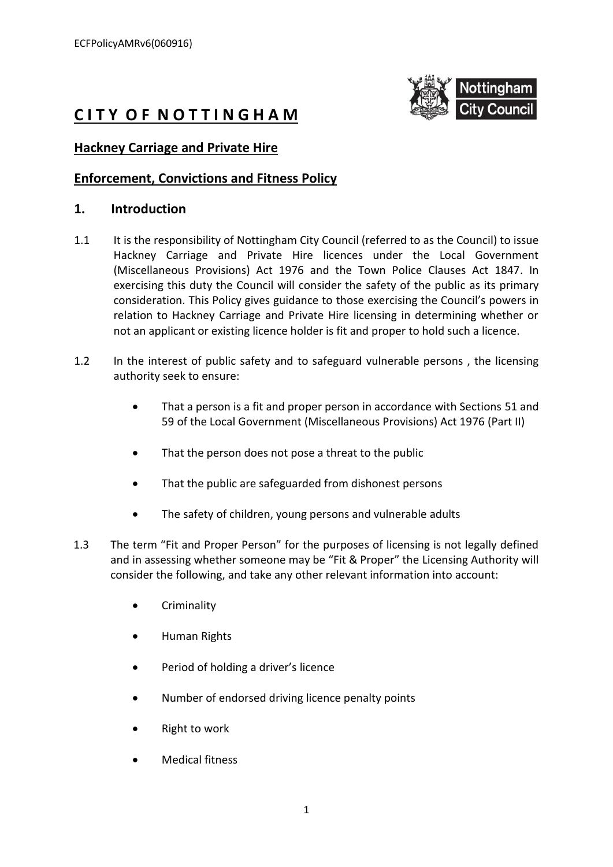

# **C I T Y O F N O T T I N G H A M**

# **Hackney Carriage and Private Hire**

# **Enforcement, Convictions and Fitness Policy**

# **1. Introduction**

- 1.1 It is the responsibility of Nottingham City Council (referred to as the Council) to issue Hackney Carriage and Private Hire licences under the Local Government (Miscellaneous Provisions) Act 1976 and the Town Police Clauses Act 1847. In exercising this duty the Council will consider the safety of the public as its primary consideration. This Policy gives guidance to those exercising the Council's powers in relation to Hackney Carriage and Private Hire licensing in determining whether or not an applicant or existing licence holder is fit and proper to hold such a licence.
- 1.2 In the interest of public safety and to safeguard vulnerable persons , the licensing authority seek to ensure:
	- That a person is a fit and proper person in accordance with Sections 51 and 59 of the Local Government (Miscellaneous Provisions) Act 1976 (Part II)
	- That the person does not pose a threat to the public
	- That the public are safeguarded from dishonest persons
	- The safety of children, young persons and vulnerable adults
- 1.3 The term "Fit and Proper Person" for the purposes of licensing is not legally defined and in assessing whether someone may be "Fit & Proper" the Licensing Authority will consider the following, and take any other relevant information into account:
	- **•** Criminality
	- **•** Human Rights
	- Period of holding a driver's licence
	- Number of endorsed driving licence penalty points
	- Right to work
	- Medical fitness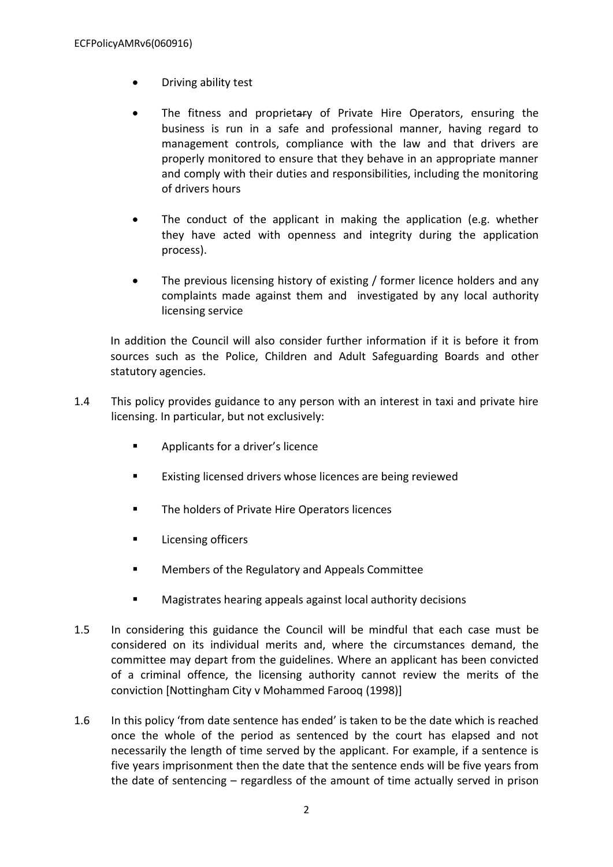- Driving ability test
- The fitness and proprietary of Private Hire Operators, ensuring the business is run in a safe and professional manner, having regard to management controls, compliance with the law and that drivers are properly monitored to ensure that they behave in an appropriate manner and comply with their duties and responsibilities, including the monitoring of drivers hours
- The conduct of the applicant in making the application (e.g. whether they have acted with openness and integrity during the application process).
- The previous licensing history of existing / former licence holders and any complaints made against them and investigated by any local authority licensing service

In addition the Council will also consider further information if it is before it from sources such as the Police, Children and Adult Safeguarding Boards and other statutory agencies.

- 1.4 This policy provides guidance to any person with an interest in taxi and private hire licensing. In particular, but not exclusively:
	- **EXECUTE:** Applicants for a driver's licence
	- **Existing licensed drivers whose licences are being reviewed**
	- **The holders of Private Hire Operators licences**
	- **Licensing officers**
	- **EXECUTE:** Members of the Regulatory and Appeals Committee
	- Magistrates hearing appeals against local authority decisions
- 1.5 In considering this guidance the Council will be mindful that each case must be considered on its individual merits and, where the circumstances demand, the committee may depart from the guidelines. Where an applicant has been convicted of a criminal offence, the licensing authority cannot review the merits of the conviction [Nottingham City v Mohammed Farooq (1998)]
- 1.6 In this policy 'from date sentence has ended' is taken to be the date which is reached once the whole of the period as sentenced by the court has elapsed and not necessarily the length of time served by the applicant. For example, if a sentence is five years imprisonment then the date that the sentence ends will be five years from the date of sentencing – regardless of the amount of time actually served in prison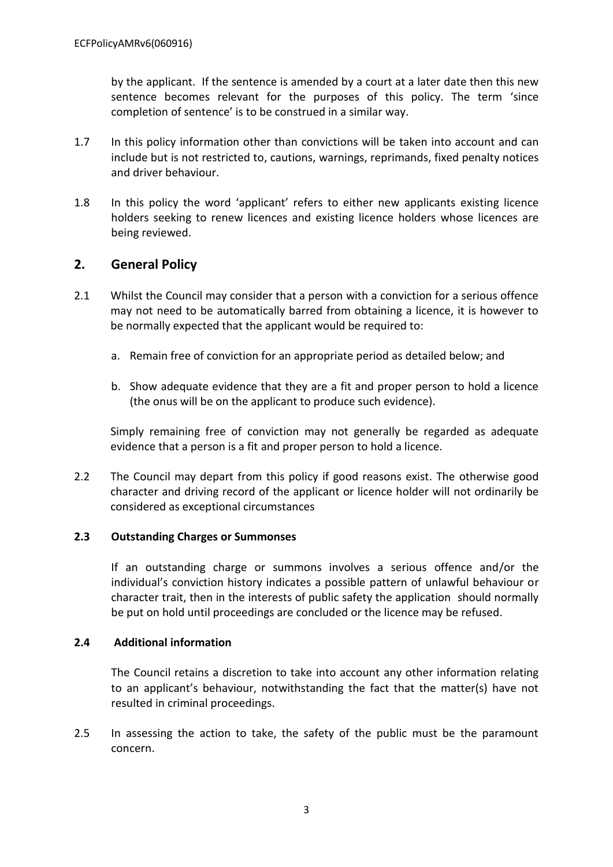by the applicant. If the sentence is amended by a court at a later date then this new sentence becomes relevant for the purposes of this policy. The term 'since completion of sentence' is to be construed in a similar way.

- 1.7 In this policy information other than convictions will be taken into account and can include but is not restricted to, cautions, warnings, reprimands, fixed penalty notices and driver behaviour.
- 1.8 In this policy the word 'applicant' refers to either new applicants existing licence holders seeking to renew licences and existing licence holders whose licences are being reviewed.

# **2. General Policy**

- 2.1 Whilst the Council may consider that a person with a conviction for a serious offence may not need to be automatically barred from obtaining a licence, it is however to be normally expected that the applicant would be required to:
	- a. Remain free of conviction for an appropriate period as detailed below; and
	- b. Show adequate evidence that they are a fit and proper person to hold a licence (the onus will be on the applicant to produce such evidence).

Simply remaining free of conviction may not generally be regarded as adequate evidence that a person is a fit and proper person to hold a licence.

2.2 The Council may depart from this policy if good reasons exist. The otherwise good character and driving record of the applicant or licence holder will not ordinarily be considered as exceptional circumstances

#### **2.3 Outstanding Charges or Summonses**

If an outstanding charge or summons involves a serious offence and/or the individual's conviction history indicates a possible pattern of unlawful behaviour or character trait, then in the interests of public safety the application should normally be put on hold until proceedings are concluded or the licence may be refused.

#### **2.4 Additional information**

The Council retains a discretion to take into account any other information relating to an applicant's behaviour, notwithstanding the fact that the matter(s) have not resulted in criminal proceedings.

2.5 In assessing the action to take, the safety of the public must be the paramount concern.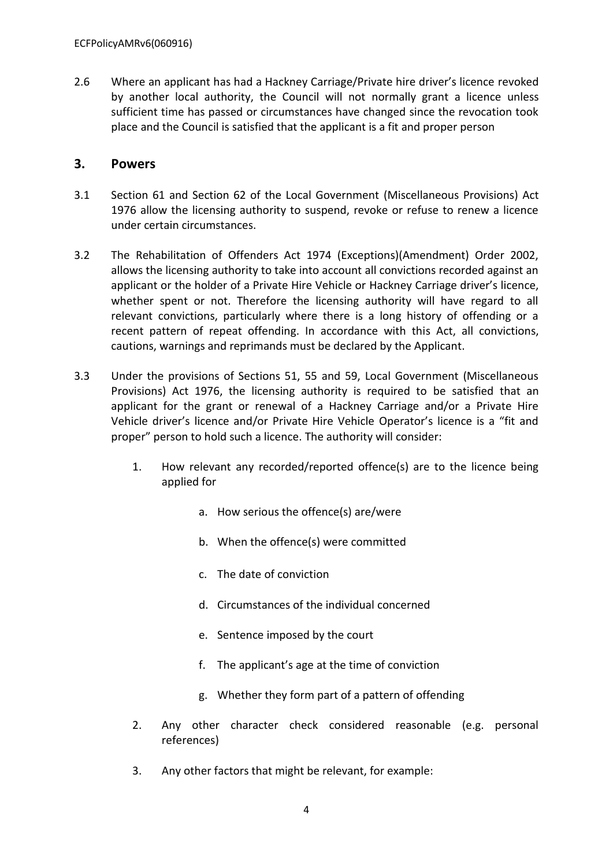2.6 Where an applicant has had a Hackney Carriage/Private hire driver's licence revoked by another local authority, the Council will not normally grant a licence unless sufficient time has passed or circumstances have changed since the revocation took place and the Council is satisfied that the applicant is a fit and proper person

## **3. Powers**

- 3.1 Section 61 and Section 62 of the Local Government (Miscellaneous Provisions) Act 1976 allow the licensing authority to suspend, revoke or refuse to renew a licence under certain circumstances.
- 3.2 The Rehabilitation of Offenders Act 1974 (Exceptions)(Amendment) Order 2002, allows the licensing authority to take into account all convictions recorded against an applicant or the holder of a Private Hire Vehicle or Hackney Carriage driver's licence, whether spent or not. Therefore the licensing authority will have regard to all relevant convictions, particularly where there is a long history of offending or a recent pattern of repeat offending. In accordance with this Act, all convictions, cautions, warnings and reprimands must be declared by the Applicant.
- 3.3 Under the provisions of Sections 51, 55 and 59, Local Government (Miscellaneous Provisions) Act 1976, the licensing authority is required to be satisfied that an applicant for the grant or renewal of a Hackney Carriage and/or a Private Hire Vehicle driver's licence and/or Private Hire Vehicle Operator's licence is a "fit and proper" person to hold such a licence. The authority will consider:
	- 1. How relevant any recorded/reported offence(s) are to the licence being applied for
		- a. How serious the offence(s) are/were
		- b. When the offence(s) were committed
		- c. The date of conviction
		- d. Circumstances of the individual concerned
		- e. Sentence imposed by the court
		- f. The applicant's age at the time of conviction
		- g. Whether they form part of a pattern of offending
	- 2. Any other character check considered reasonable (e.g. personal references)
	- 3. Any other factors that might be relevant, for example: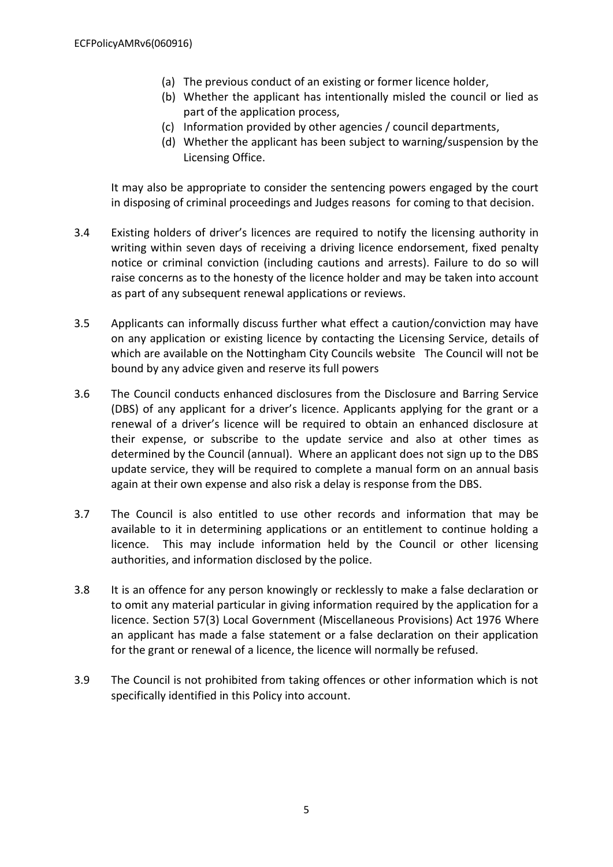- (a) The previous conduct of an existing or former licence holder,
- (b) Whether the applicant has intentionally misled the council or lied as part of the application process,
- (c) Information provided by other agencies / council departments,
- (d) Whether the applicant has been subject to warning/suspension by the Licensing Office.

It may also be appropriate to consider the sentencing powers engaged by the court in disposing of criminal proceedings and Judges reasons for coming to that decision.

- 3.4 Existing holders of driver's licences are required to notify the licensing authority in writing within seven days of receiving a driving licence endorsement, fixed penalty notice or criminal conviction (including cautions and arrests). Failure to do so will raise concerns as to the honesty of the licence holder and may be taken into account as part of any subsequent renewal applications or reviews.
- 3.5 Applicants can informally discuss further what effect a caution/conviction may have on any application or existing licence by contacting the Licensing Service, details of which are available on the Nottingham City Councils website The Council will not be bound by any advice given and reserve its full powers
- 3.6 The Council conducts enhanced disclosures from the Disclosure and Barring Service (DBS) of any applicant for a driver's licence. Applicants applying for the grant or a renewal of a driver's licence will be required to obtain an enhanced disclosure at their expense, or subscribe to the update service and also at other times as determined by the Council (annual). Where an applicant does not sign up to the DBS update service, they will be required to complete a manual form on an annual basis again at their own expense and also risk a delay is response from the DBS.
- 3.7 The Council is also entitled to use other records and information that may be available to it in determining applications or an entitlement to continue holding a licence. This may include information held by the Council or other licensing authorities, and information disclosed by the police.
- 3.8 It is an offence for any person knowingly or recklessly to make a false declaration or to omit any material particular in giving information required by the application for a licence. Section 57(3) Local Government (Miscellaneous Provisions) Act 1976 Where an applicant has made a false statement or a false declaration on their application for the grant or renewal of a licence, the licence will normally be refused.
- 3.9 The Council is not prohibited from taking offences or other information which is not specifically identified in this Policy into account.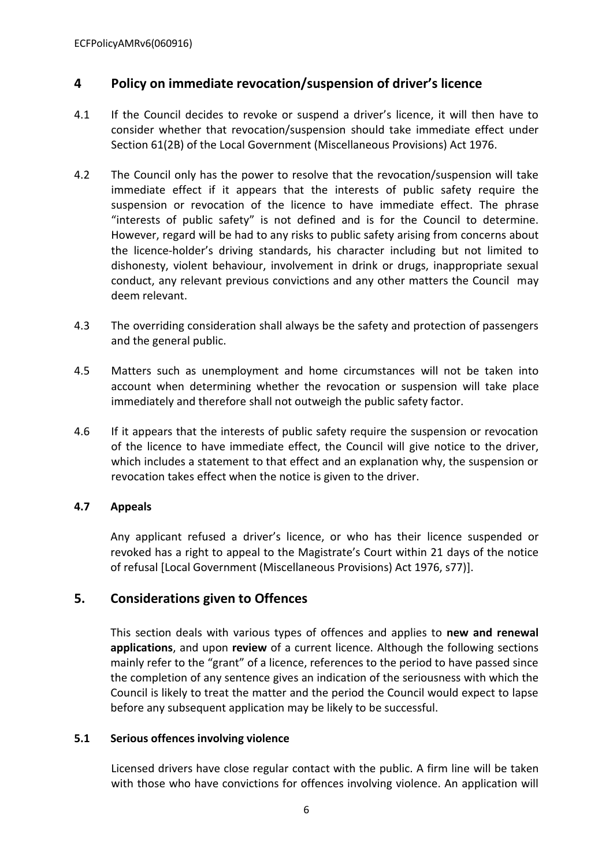# **4 Policy on immediate revocation/suspension of driver's licence**

- 4.1 If the Council decides to revoke or suspend a driver's licence, it will then have to consider whether that revocation/suspension should take immediate effect under Section 61(2B) of the Local Government (Miscellaneous Provisions) Act 1976.
- 4.2 The Council only has the power to resolve that the revocation/suspension will take immediate effect if it appears that the interests of public safety require the suspension or revocation of the licence to have immediate effect. The phrase "interests of public safety" is not defined and is for the Council to determine. However, regard will be had to any risks to public safety arising from concerns about the licence-holder's driving standards, his character including but not limited to dishonesty, violent behaviour, involvement in drink or drugs, inappropriate sexual conduct, any relevant previous convictions and any other matters the Council may deem relevant.
- 4.3 The overriding consideration shall always be the safety and protection of passengers and the general public.
- 4.5 Matters such as unemployment and home circumstances will not be taken into account when determining whether the revocation or suspension will take place immediately and therefore shall not outweigh the public safety factor.
- 4.6 If it appears that the interests of public safety require the suspension or revocation of the licence to have immediate effect, the Council will give notice to the driver, which includes a statement to that effect and an explanation why, the suspension or revocation takes effect when the notice is given to the driver.

### **4.7 Appeals**

Any applicant refused a driver's licence, or who has their licence suspended or revoked has a right to appeal to the Magistrate's Court within 21 days of the notice of refusal [Local Government (Miscellaneous Provisions) Act 1976, s77)].

# **5. Considerations given to Offences**

This section deals with various types of offences and applies to **new and renewal applications**, and upon **review** of a current licence. Although the following sections mainly refer to the "grant" of a licence, references to the period to have passed since the completion of any sentence gives an indication of the seriousness with which the Council is likely to treat the matter and the period the Council would expect to lapse before any subsequent application may be likely to be successful.

### **5.1 Serious offences involving violence**

Licensed drivers have close regular contact with the public. A firm line will be taken with those who have convictions for offences involving violence. An application will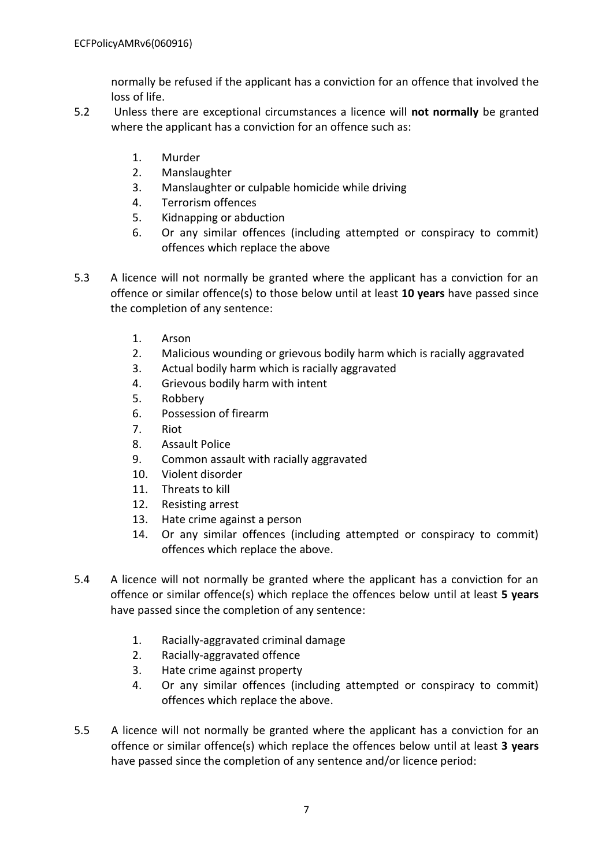normally be refused if the applicant has a conviction for an offence that involved the loss of life.

- 5.2 Unless there are exceptional circumstances a licence will **not normally** be granted where the applicant has a conviction for an offence such as:
	- 1. Murder
	- 2. Manslaughter
	- 3. Manslaughter or culpable homicide while driving
	- 4. Terrorism offences
	- 5. Kidnapping or abduction
	- 6. Or any similar offences (including attempted or conspiracy to commit) offences which replace the above
- 5.3 A licence will not normally be granted where the applicant has a conviction for an offence or similar offence(s) to those below until at least **10 years** have passed since the completion of any sentence:
	- 1. Arson
	- 2. Malicious wounding or grievous bodily harm which is racially aggravated
	- 3. Actual bodily harm which is racially aggravated
	- 4. Grievous bodily harm with intent
	- 5. Robbery
	- 6. Possession of firearm
	- 7. Riot
	- 8. Assault Police
	- 9. Common assault with racially aggravated
	- 10. Violent disorder
	- 11. Threats to kill
	- 12. Resisting arrest
	- 13. Hate crime against a person
	- 14. Or any similar offences (including attempted or conspiracy to commit) offences which replace the above.
- 5.4 A licence will not normally be granted where the applicant has a conviction for an offence or similar offence(s) which replace the offences below until at least **5 years** have passed since the completion of any sentence:
	- 1. Racially-aggravated criminal damage
	- 2. Racially-aggravated offence
	- 3. Hate crime against property
	- 4. Or any similar offences (including attempted or conspiracy to commit) offences which replace the above.
- 5.5 A licence will not normally be granted where the applicant has a conviction for an offence or similar offence(s) which replace the offences below until at least **3 years** have passed since the completion of any sentence and/or licence period: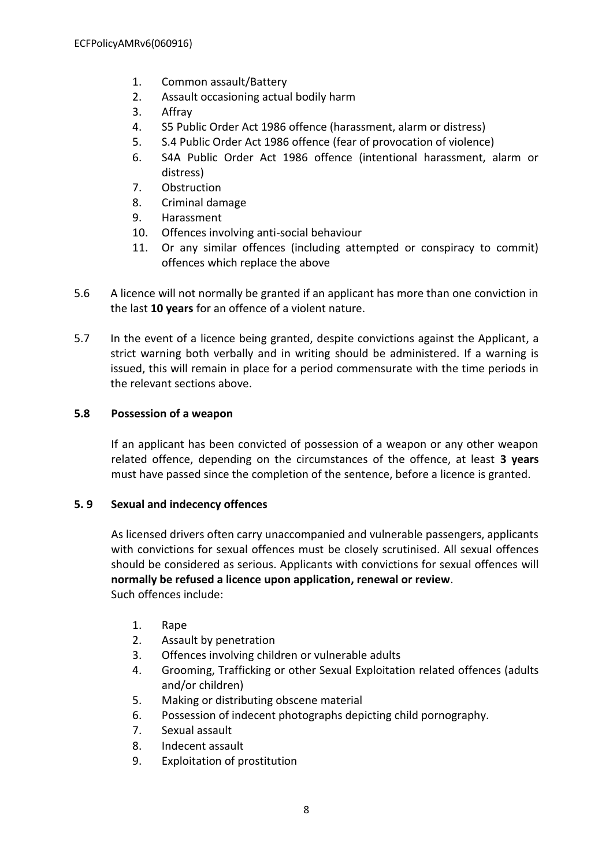- 1. Common assault/Battery
- 2. Assault occasioning actual bodily harm
- 3. Affray
- 4. S5 Public Order Act 1986 offence (harassment, alarm or distress)
- 5. S.4 Public Order Act 1986 offence (fear of provocation of violence)
- 6. S4A Public Order Act 1986 offence (intentional harassment, alarm or distress)
- 7. Obstruction
- 8. Criminal damage
- 9. Harassment
- 10. Offences involving anti-social behaviour
- 11. Or any similar offences (including attempted or conspiracy to commit) offences which replace the above
- 5.6 A licence will not normally be granted if an applicant has more than one conviction in the last **10 years** for an offence of a violent nature.
- 5.7 In the event of a licence being granted, despite convictions against the Applicant, a strict warning both verbally and in writing should be administered. If a warning is issued, this will remain in place for a period commensurate with the time periods in the relevant sections above.

### **5.8 Possession of a weapon**

If an applicant has been convicted of possession of a weapon or any other weapon related offence, depending on the circumstances of the offence, at least **3 years** must have passed since the completion of the sentence, before a licence is granted.

#### **5. 9 Sexual and indecency offences**

As licensed drivers often carry unaccompanied and vulnerable passengers, applicants with convictions for sexual offences must be closely scrutinised. All sexual offences should be considered as serious. Applicants with convictions for sexual offences will **normally be refused a licence upon application, renewal or review**. Such offences include:

- 1. Rape
- 2. Assault by penetration
- 3. Offences involving children or vulnerable adults
- 4. Grooming, Trafficking or other Sexual Exploitation related offences (adults and/or children)
- 5. Making or distributing obscene material
- 6. Possession of indecent photographs depicting child pornography.
- 7. Sexual assault
- 8. Indecent assault
- 9. Exploitation of prostitution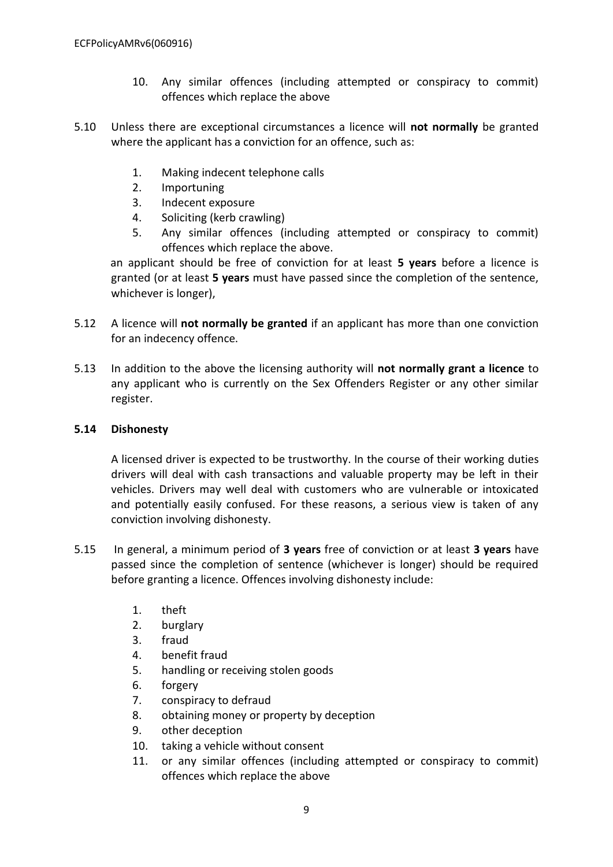- 10. Any similar offences (including attempted or conspiracy to commit) offences which replace the above
- 5.10 Unless there are exceptional circumstances a licence will **not normally** be granted where the applicant has a conviction for an offence, such as:
	- 1. Making indecent telephone calls
	- 2. Importuning
	- 3. Indecent exposure
	- 4. Soliciting (kerb crawling)
	- 5. Any similar offences (including attempted or conspiracy to commit) offences which replace the above.

an applicant should be free of conviction for at least **5 years** before a licence is granted (or at least **5 years** must have passed since the completion of the sentence, whichever is longer),

- 5.12 A licence will **not normally be granted** if an applicant has more than one conviction for an indecency offence.
- 5.13 In addition to the above the licensing authority will **not normally grant a licence** to any applicant who is currently on the Sex Offenders Register or any other similar register.

### **5.14 Dishonesty**

A licensed driver is expected to be trustworthy. In the course of their working duties drivers will deal with cash transactions and valuable property may be left in their vehicles. Drivers may well deal with customers who are vulnerable or intoxicated and potentially easily confused. For these reasons, a serious view is taken of any conviction involving dishonesty.

- 5.15 In general, a minimum period of **3 years** free of conviction or at least **3 years** have passed since the completion of sentence (whichever is longer) should be required before granting a licence. Offences involving dishonesty include:
	- 1. theft
	- 2. burglary
	- 3. fraud
	- 4. benefit fraud
	- 5. handling or receiving stolen goods
	- 6. forgery
	- 7. conspiracy to defraud
	- 8. obtaining money or property by deception
	- 9. other deception
	- 10. taking a vehicle without consent
	- 11. or any similar offences (including attempted or conspiracy to commit) offences which replace the above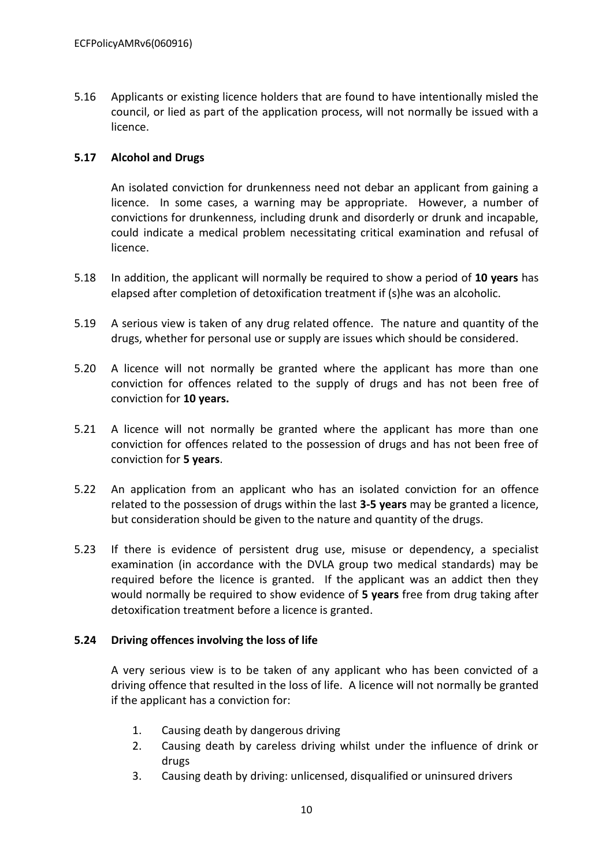5.16 Applicants or existing licence holders that are found to have intentionally misled the council, or lied as part of the application process, will not normally be issued with a licence.

### **5.17 Alcohol and Drugs**

An isolated conviction for drunkenness need not debar an applicant from gaining a licence. In some cases, a warning may be appropriate. However, a number of convictions for drunkenness, including drunk and disorderly or drunk and incapable, could indicate a medical problem necessitating critical examination and refusal of licence.

- 5.18 In addition, the applicant will normally be required to show a period of **10 years** has elapsed after completion of detoxification treatment if (s)he was an alcoholic.
- 5.19 A serious view is taken of any drug related offence. The nature and quantity of the drugs, whether for personal use or supply are issues which should be considered.
- 5.20 A licence will not normally be granted where the applicant has more than one conviction for offences related to the supply of drugs and has not been free of conviction for **10 years.**
- 5.21 A licence will not normally be granted where the applicant has more than one conviction for offences related to the possession of drugs and has not been free of conviction for **5 years**.
- 5.22 An application from an applicant who has an isolated conviction for an offence related to the possession of drugs within the last **3-5 years** may be granted a licence, but consideration should be given to the nature and quantity of the drugs.
- 5.23 If there is evidence of persistent drug use, misuse or dependency, a specialist examination (in accordance with the DVLA group two medical standards) may be required before the licence is granted. If the applicant was an addict then they would normally be required to show evidence of **5 years** free from drug taking after detoxification treatment before a licence is granted.

### **5.24 Driving offences involving the loss of life**

A very serious view is to be taken of any applicant who has been convicted of a driving offence that resulted in the loss of life. A licence will not normally be granted if the applicant has a conviction for:

- 1. Causing death by dangerous driving
- 2. Causing death by careless driving whilst under the influence of drink or drugs
- 3. Causing death by driving: unlicensed, disqualified or uninsured drivers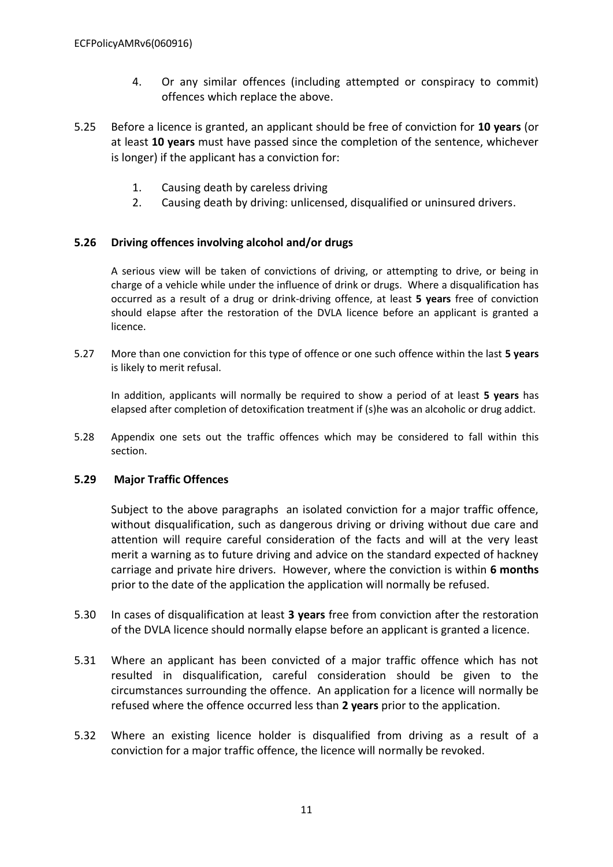- 4. Or any similar offences (including attempted or conspiracy to commit) offences which replace the above.
- 5.25 Before a licence is granted, an applicant should be free of conviction for **10 years** (or at least **10 years** must have passed since the completion of the sentence, whichever is longer) if the applicant has a conviction for:
	- 1. Causing death by careless driving
	- 2. Causing death by driving: unlicensed, disqualified or uninsured drivers.

### **5.26 Driving offences involving alcohol and/or drugs**

A serious view will be taken of convictions of driving, or attempting to drive, or being in charge of a vehicle while under the influence of drink or drugs. Where a disqualification has occurred as a result of a drug or drink-driving offence, at least **5 years** free of conviction should elapse after the restoration of the DVLA licence before an applicant is granted a licence.

5.27 More than one conviction for this type of offence or one such offence within the last **5 years** is likely to merit refusal.

In addition, applicants will normally be required to show a period of at least **5 years** has elapsed after completion of detoxification treatment if (s)he was an alcoholic or drug addict.

5.28 Appendix one sets out the traffic offences which may be considered to fall within this section.

#### **5.29 Major Traffic Offences**

Subject to the above paragraphs an isolated conviction for a major traffic offence, without disqualification, such as dangerous driving or driving without due care and attention will require careful consideration of the facts and will at the very least merit a warning as to future driving and advice on the standard expected of hackney carriage and private hire drivers. However, where the conviction is within **6 months** prior to the date of the application the application will normally be refused.

- 5.30 In cases of disqualification at least **3 years** free from conviction after the restoration of the DVLA licence should normally elapse before an applicant is granted a licence.
- 5.31 Where an applicant has been convicted of a major traffic offence which has not resulted in disqualification, careful consideration should be given to the circumstances surrounding the offence. An application for a licence will normally be refused where the offence occurred less than **2 years** prior to the application.
- 5.32 Where an existing licence holder is disqualified from driving as a result of a conviction for a major traffic offence, the licence will normally be revoked.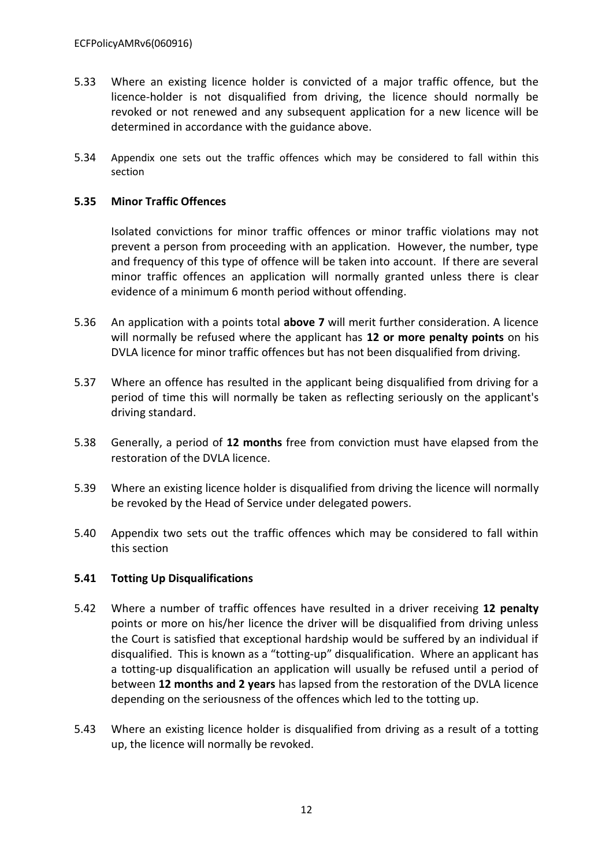- 5.33 Where an existing licence holder is convicted of a major traffic offence, but the licence-holder is not disqualified from driving, the licence should normally be revoked or not renewed and any subsequent application for a new licence will be determined in accordance with the guidance above.
- 5.34 Appendix one sets out the traffic offences which may be considered to fall within this section

### **5.35 Minor Traffic Offences**

Isolated convictions for minor traffic offences or minor traffic violations may not prevent a person from proceeding with an application. However, the number, type and frequency of this type of offence will be taken into account. If there are several minor traffic offences an application will normally granted unless there is clear evidence of a minimum 6 month period without offending.

- 5.36 An application with a points total **above 7** will merit further consideration. A licence will normally be refused where the applicant has **12 or more penalty points** on his DVLA licence for minor traffic offences but has not been disqualified from driving.
- 5.37 Where an offence has resulted in the applicant being disqualified from driving for a period of time this will normally be taken as reflecting seriously on the applicant's driving standard.
- 5.38 Generally, a period of **12 months** free from conviction must have elapsed from the restoration of the DVLA licence.
- 5.39 Where an existing licence holder is disqualified from driving the licence will normally be revoked by the Head of Service under delegated powers.
- 5.40 Appendix two sets out the traffic offences which may be considered to fall within this section

#### **5.41 Totting Up Disqualifications**

- 5.42 Where a number of traffic offences have resulted in a driver receiving **12 penalty** points or more on his/her licence the driver will be disqualified from driving unless the Court is satisfied that exceptional hardship would be suffered by an individual if disqualified. This is known as a "totting-up" disqualification. Where an applicant has a totting-up disqualification an application will usually be refused until a period of between **12 months and 2 years** has lapsed from the restoration of the DVLA licence depending on the seriousness of the offences which led to the totting up.
- 5.43 Where an existing licence holder is disqualified from driving as a result of a totting up, the licence will normally be revoked.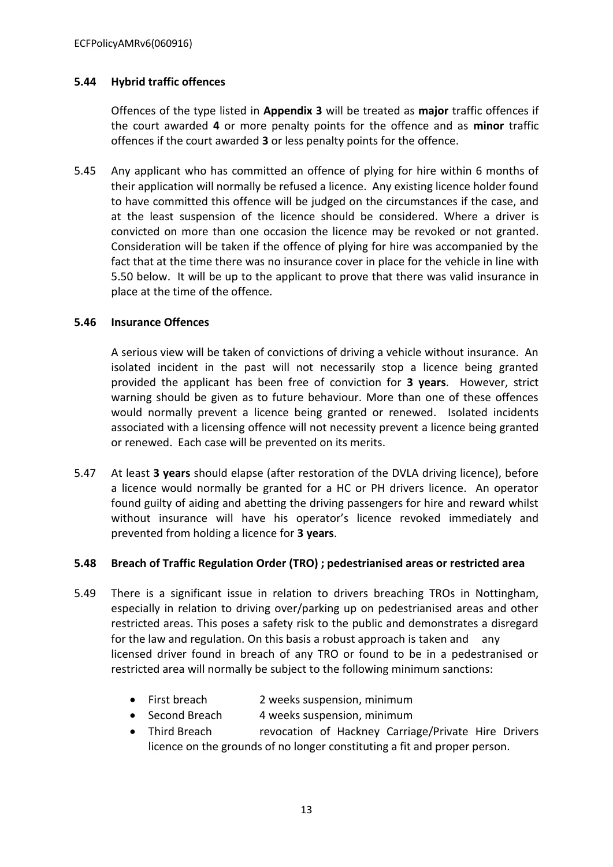### **5.44 Hybrid traffic offences**

Offences of the type listed in **Appendix 3** will be treated as **major** traffic offences if the court awarded **4** or more penalty points for the offence and as **minor** traffic offences if the court awarded **3** or less penalty points for the offence.

5.45 Any applicant who has committed an offence of plying for hire within 6 months of their application will normally be refused a licence. Any existing licence holder found to have committed this offence will be judged on the circumstances if the case, and at the least suspension of the licence should be considered. Where a driver is convicted on more than one occasion the licence may be revoked or not granted. Consideration will be taken if the offence of plying for hire was accompanied by the fact that at the time there was no insurance cover in place for the vehicle in line with 5.50 below. It will be up to the applicant to prove that there was valid insurance in place at the time of the offence.

### **5.46 Insurance Offences**

 A serious view will be taken of convictions of driving a vehicle without insurance. An isolated incident in the past will not necessarily stop a licence being granted provided the applicant has been free of conviction for **3 years**. However, strict warning should be given as to future behaviour. More than one of these offences would normally prevent a licence being granted or renewed. Isolated incidents associated with a licensing offence will not necessity prevent a licence being granted or renewed. Each case will be prevented on its merits.

5.47 At least **3 years** should elapse (after restoration of the DVLA driving licence), before a licence would normally be granted for a HC or PH drivers licence. An operator found guilty of aiding and abetting the driving passengers for hire and reward whilst without insurance will have his operator's licence revoked immediately and prevented from holding a licence for **3 years**.

#### **5.48 Breach of Traffic Regulation Order (TRO) ; pedestrianised areas or restricted area**

- 5.49 There is a significant issue in relation to drivers breaching TROs in Nottingham, especially in relation to driving over/parking up on pedestrianised areas and other restricted areas. This poses a safety risk to the public and demonstrates a disregard for the law and regulation. On this basis a robust approach is taken and any licensed driver found in breach of any TRO or found to be in a pedestranised or restricted area will normally be subject to the following minimum sanctions:
	- First breach 2 weeks suspension, minimum
	- Second Breach 4 weeks suspension, minimum
	- Third Breach revocation of Hackney Carriage/Private Hire Drivers licence on the grounds of no longer constituting a fit and proper person.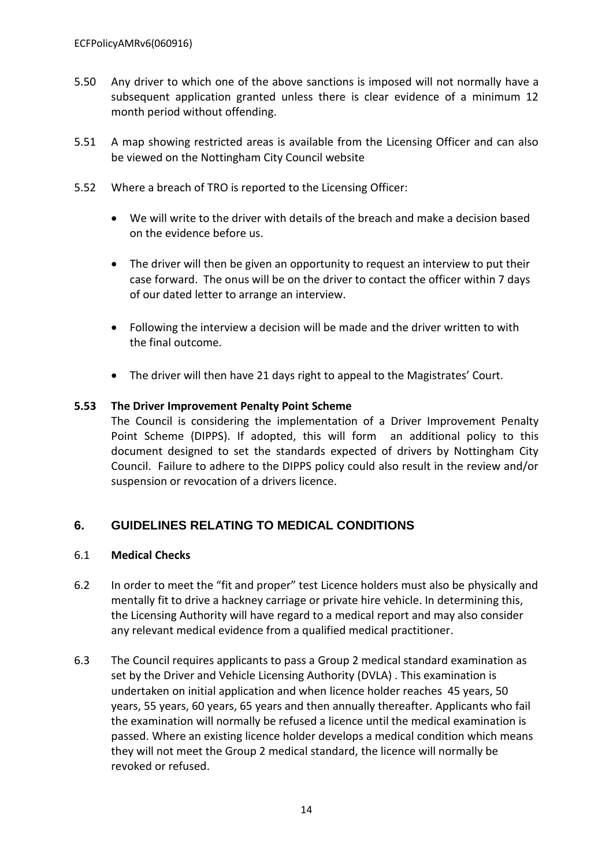- 5.50 Any driver to which one of the above sanctions is imposed will not normally have a subsequent application granted unless there is clear evidence of a minimum 12 month period without offending.
- 5.51 A map showing restricted areas is available from the Licensing Officer and can also be viewed on the Nottingham City Council website
- 5.52 Where a breach of TRO is reported to the Licensing Officer:
	- We will write to the driver with details of the breach and make a decision based on the evidence before us.
	- The driver will then be given an opportunity to request an interview to put their case forward. The onus will be on the driver to contact the officer within 7 days of our dated letter to arrange an interview.
	- Following the interview a decision will be made and the driver written to with the final outcome.
	- The driver will then have 21 days right to appeal to the Magistrates' Court.

### **5.53 The Driver Improvement Penalty Point Scheme**

The Council is considering the implementation of a Driver Improvement Penalty Point Scheme (DIPPS). If adopted, this will form an additional policy to this document designed to set the standards expected of drivers by Nottingham City Council. Failure to adhere to the DIPPS policy could also result in the review and/or suspension or revocation of a drivers licence.

### **6. GUIDELINES RELATING TO MEDICAL CONDITIONS**

#### 6.1 **Medical Checks**

- 6.2 In order to meet the "fit and proper" test Licence holders must also be physically and mentally fit to drive a hackney carriage or private hire vehicle. In determining this, the Licensing Authority will have regard to a medical report and may also consider any relevant medical evidence from a qualified medical practitioner.
- 6.3 The Council requires applicants to pass a Group 2 medical standard examination as set by the Driver and Vehicle Licensing Authority (DVLA) . This examination is undertaken on initial application and when licence holder reaches 45 years, 50 years, 55 years, 60 years, 65 years and then annually thereafter. Applicants who fail the examination will normally be refused a licence until the medical examination is passed. Where an existing licence holder develops a medical condition which means they will not meet the Group 2 medical standard, the licence will normally be revoked or refused.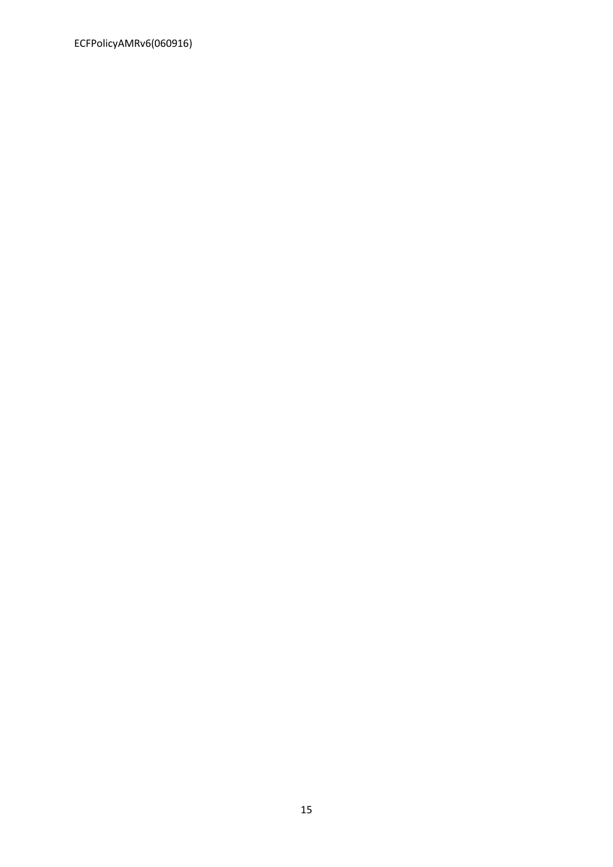ECFPolicyAMRv6(060916)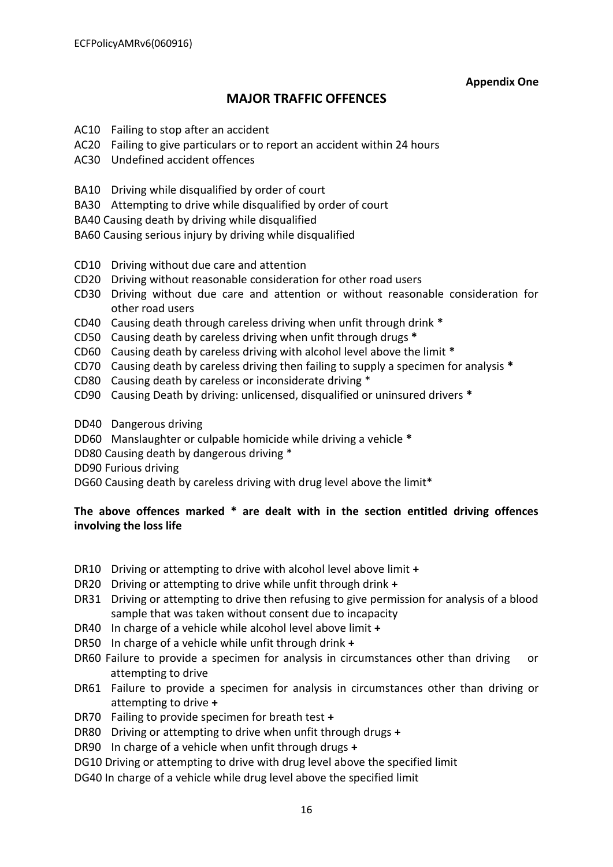#### **Appendix One**

# **MAJOR TRAFFIC OFFENCES**

- AC10 Failing to stop after an accident
- AC20 Failing to give particulars or to report an accident within 24 hours
- AC30 Undefined accident offences
- BA10 Driving while disqualified by order of court
- BA30 Attempting to drive while disqualified by order of court
- BA40 Causing death by driving while disqualified
- BA60 Causing serious injury by driving while disqualified
- CD10 Driving without due care and attention
- CD20 Driving without reasonable consideration for other road users
- CD30 Driving without due care and attention or without reasonable consideration for other road users
- CD40 Causing death through careless driving when unfit through drink **\***
- CD50 Causing death by careless driving when unfit through drugs **\***
- CD60 Causing death by careless driving with alcohol level above the limit **\***
- CD70 Causing death by careless driving then failing to supply a specimen for analysis **\***
- CD80 Causing death by careless or inconsiderate driving \*
- CD90 Causing Death by driving: unlicensed, disqualified or uninsured drivers **\***
- DD40 Dangerous driving
- DD60 Manslaughter or culpable homicide while driving a vehicle **\***
- DD80 Causing death by dangerous driving \*
- DD90 Furious driving
- DG60 Causing death by careless driving with drug level above the limit\*

### **The above offences marked \* are dealt with in the section entitled driving offences involving the loss life**

- DR10 Driving or attempting to drive with alcohol level above limit **+**
- DR20 Driving or attempting to drive while unfit through drink **+**
- DR31 Driving or attempting to drive then refusing to give permission for analysis of a blood sample that was taken without consent due to incapacity
- DR40 In charge of a vehicle while alcohol level above limit **+**
- DR50 In charge of a vehicle while unfit through drink **+**
- DR60 Failure to provide a specimen for analysis in circumstances other than driving or attempting to drive
- DR61 Failure to provide a specimen for analysis in circumstances other than driving or attempting to drive **+**
- DR70 Failing to provide specimen for breath test **+**
- DR80 Driving or attempting to drive when unfit through drugs **+**
- DR90 In charge of a vehicle when unfit through drugs **+**
- DG10 Driving or attempting to drive with drug level above the specified limit
- DG40 In charge of a vehicle while drug level above the specified limit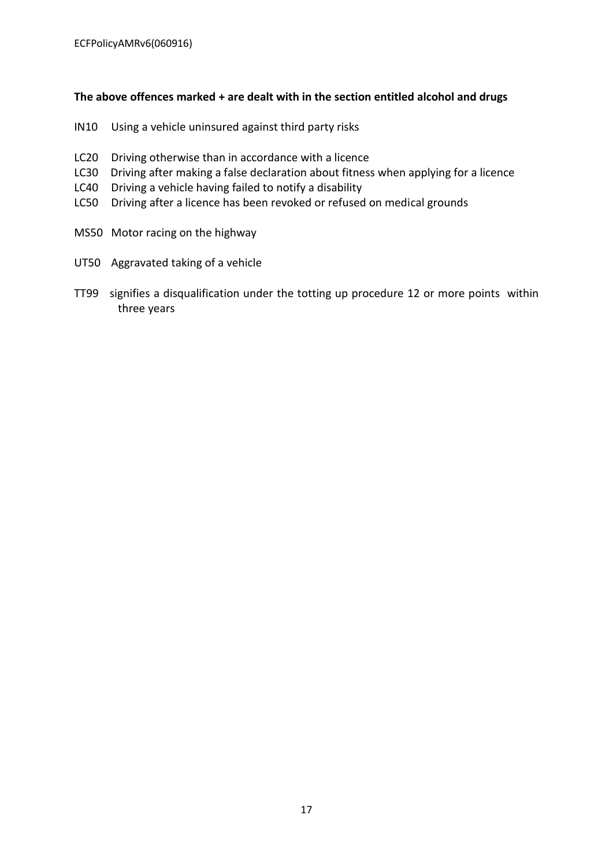### **The above offences marked + are dealt with in the section entitled alcohol and drugs**

- IN10 Using a vehicle uninsured against third party risks
- LC20 Driving otherwise than in accordance with a licence
- LC30 Driving after making a false declaration about fitness when applying for a licence
- LC40 Driving a vehicle having failed to notify a disability
- LC50 Driving after a licence has been revoked or refused on medical grounds
- MS50 Motor racing on the highway
- UT50 Aggravated taking of a vehicle
- TT99 signifies a disqualification under the totting up procedure 12 or more points within three years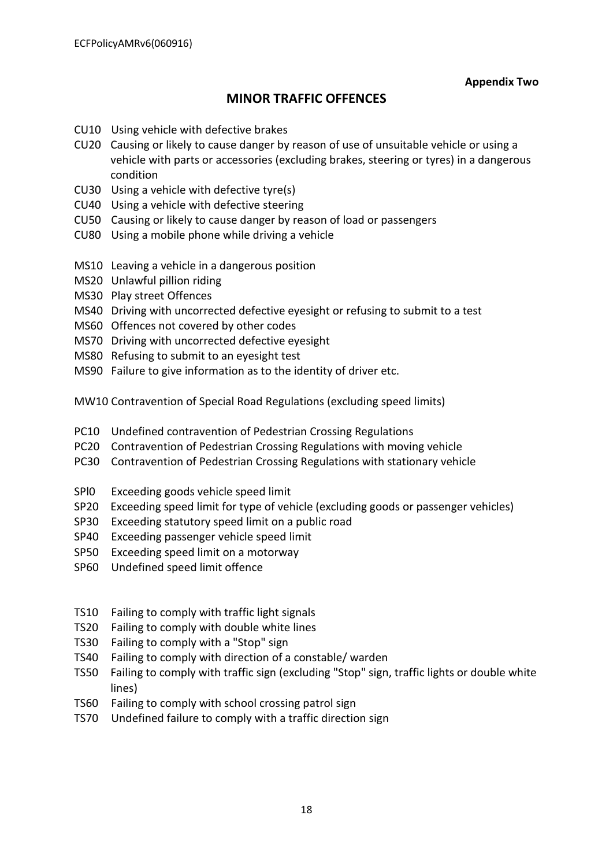# **MINOR TRAFFIC OFFENCES**

- CU10 Using vehicle with defective brakes
- CU20 Causing or likely to cause danger by reason of use of unsuitable vehicle or using a vehicle with parts or accessories (excluding brakes, steering or tyres) in a dangerous condition
- CU30 Using a vehicle with defective tyre(s)
- CU40 Using a vehicle with defective steering
- CU50 Causing or likely to cause danger by reason of load or passengers
- CU80 Using a mobile phone while driving a vehicle
- MS10 Leaving a vehicle in a dangerous position
- MS20 Unlawful pillion riding
- MS30 Play street Offences
- MS40 Driving with uncorrected defective eyesight or refusing to submit to a test
- MS60 Offences not covered by other codes
- MS70 Driving with uncorrected defective eyesight
- MS80 Refusing to submit to an eyesight test
- MS90 Failure to give information as to the identity of driver etc.

MW10 Contravention of Special Road Regulations (excluding speed limits)

- PC10 Undefined contravention of Pedestrian Crossing Regulations
- PC20 Contravention of Pedestrian Crossing Regulations with moving vehicle
- PC30 Contravention of Pedestrian Crossing Regulations with stationary vehicle
- SPl0 Exceeding goods vehicle speed limit
- SP20 Exceeding speed limit for type of vehicle (excluding goods or passenger vehicles)
- SP30 Exceeding statutory speed limit on a public road
- SP40 Exceeding passenger vehicle speed limit
- SP50 Exceeding speed limit on a motorway
- SP60 Undefined speed limit offence
- TS10 Failing to comply with traffic light signals
- TS20 Failing to comply with double white lines
- TS30 Failing to comply with a "Stop" sign
- TS40 Failing to comply with direction of a constable/ warden
- TS50 Failing to comply with traffic sign (excluding "Stop" sign, traffic lights or double white lines)
- TS60 Failing to comply with school crossing patrol sign
- TS70 Undefined failure to comply with a traffic direction sign